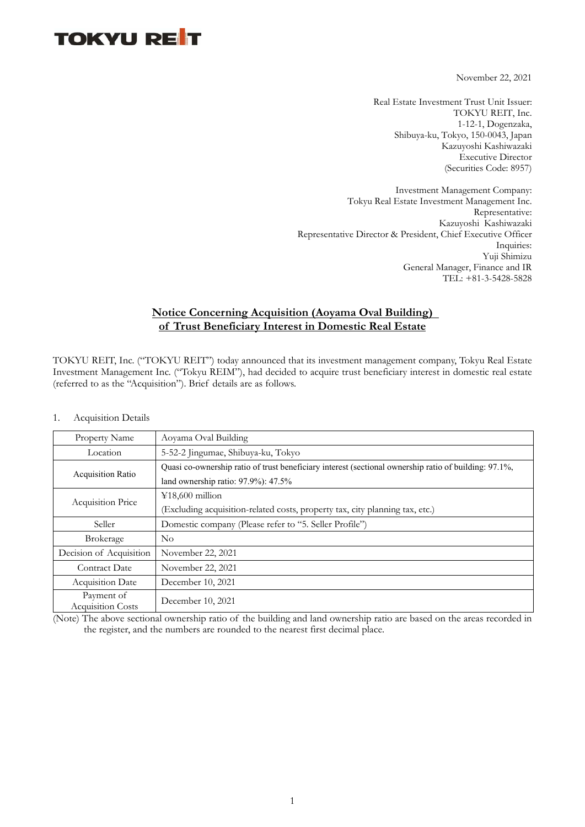November 22, 2021

Real Estate Investment Trust Unit Issuer: TOKYU REIT, Inc. 1-12-1, Dogenzaka, Shibuya-ku, Tokyo, 150-0043, Japan Kazuyoshi Kashiwazaki Executive Director (Securities Code: 8957)

Investment Management Company: Tokyu Real Estate Investment Management Inc. Representative: Kazuyoshi Kashiwazaki Representative Director & President, Chief Executive Officer Inquiries: Yuji Shimizu General Manager, Finance and IR TEL: +81-3-5428-5828

### **Notice Concerning Acquisition (Aoyama Oval Building) of Trust Beneficiary Interest in Domestic Real Estate**

TOKYU REIT, Inc. ("TOKYU REIT") today announced that its investment management company, Tokyu Real Estate Investment Management Inc. ("Tokyu REIM"), had decided to acquire trust beneficiary interest in domestic real estate (referred to as the "Acquisition"). Brief details are as follows.

| <b>Property Name</b>                   | Aoyama Oval Building                                                                                  |
|----------------------------------------|-------------------------------------------------------------------------------------------------------|
| Location                               | 5-52-2 Jingumae, Shibuya-ku, Tokyo                                                                    |
| <b>Acquisition Ratio</b>               | Quasi co-ownership ratio of trust beneficiary interest (sectional ownership ratio of building: 97.1%, |
|                                        | land ownership ratio: 97.9%): 47.5%                                                                   |
| <b>Acquisition Price</b>               | $¥18,600$ million                                                                                     |
|                                        | (Excluding acquisition-related costs, property tax, city planning tax, etc.)                          |
| Seller                                 | Domestic company (Please refer to "5. Seller Profile")                                                |
| <b>Brokerage</b>                       | $\rm No$                                                                                              |
| Decision of Acquisition                | November 22, 2021                                                                                     |
| Contract Date                          | November 22, 2021                                                                                     |
| <b>Acquisition Date</b>                | December 10, 2021                                                                                     |
| Payment of<br><b>Acquisition Costs</b> | December 10, 2021                                                                                     |

1. Acquisition Details

(Note) The above sectional ownership ratio of the building and land ownership ratio are based on the areas recorded in the register, and the numbers are rounded to the nearest first decimal place.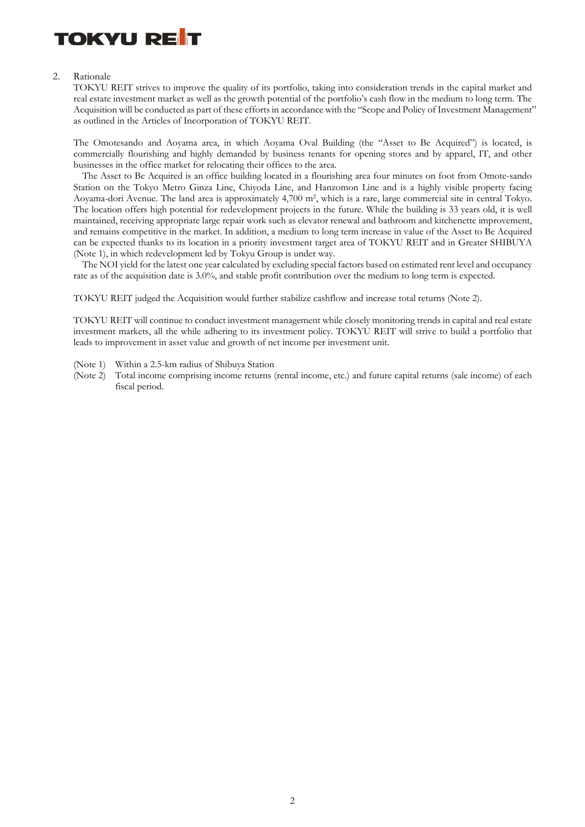

#### 2. Rationale

TOKYU REIT strives to improve the quality of its portfolio, taking into consideration trends in the capital market and real estate investment market as well as the growth potential of the portfolio's cash flow in the medium to long term. The Acquisition will be conducted as part of these efforts in accordance with the "Scope and Policy of Investment Management" as outlined in the Articles of Incorporation of TOKYU REIT.

The Omotesando and Aoyama area, in which Aoyama Oval Building (the "Asset to Be Acquired") is located, is commercially flourishing and highly demanded by business tenants for opening stores and by apparel, IT, and other businesses in the office market for relocating their offices to the area.

The Asset to Be Acquired is an office building located in a flourishing area four minutes on foot from Omote-sando Station on the Tokyo Metro Ginza Line, Chiyoda Line, and Hanzomon Line and is a highly visible property facing Aoyama-dori Avenue. The land area is approximately 4,700 m2, which is a rare, large commercial site in central Tokyo. The location offers high potential for redevelopment projects in the future. While the building is 33 years old, it is well maintained, receiving appropriate large repair work such as elevator renewal and bathroom and kitchenette improvement, and remains competitive in the market. In addition, a medium to long term increase in value of the Asset to Be Acquired can be expected thanks to its location in a priority investment target area of TOKYU REIT and in Greater SHIBUYA (Note 1), in which redevelopment led by Tokyu Group is under way.

The NOI yield for the latest one year calculated by excluding special factors based on estimated rent level and occupancy rate as of the acquisition date is 3.0%, and stable profit contribution over the medium to long term is expected.

TOKYU REIT judged the Acquisition would further stabilize cashflow and increase total returns (Note 2).

TOKYU REIT will continue to conduct investment management while closely monitoring trends in capital and real estate investment markets, all the while adhering to its investment policy. TOKYU REIT will strive to build a portfolio that leads to improvement in asset value and growth of net income per investment unit.

- (Note 1) Within a 2.5-km radius of Shibuya Station
- (Note 2) Total income comprising income returns (rental income, etc.) and future capital returns (sale income) of each fiscal period.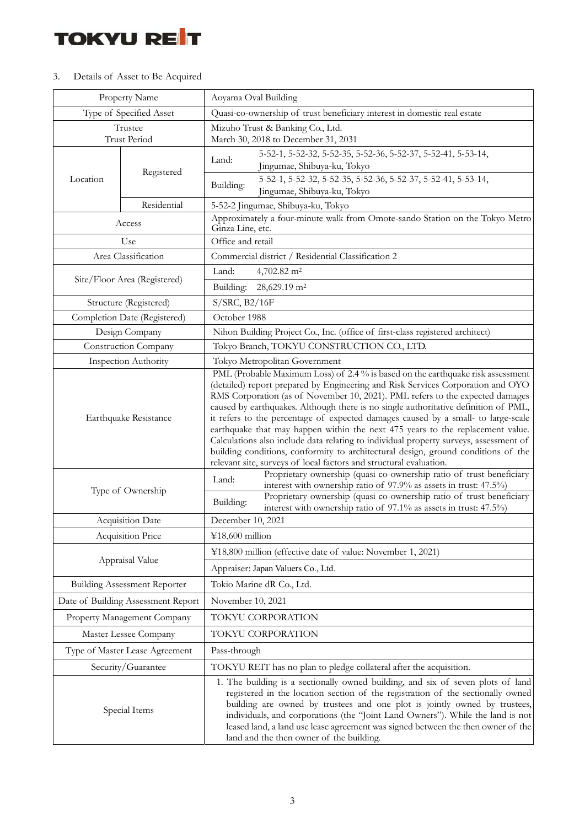### 3. Details of Asset to Be Acquired

| Property Name                                        |                                     | Aoyama Oval Building                                                                                                                                                                                                                                                                                                                                                                                                                                                                                                                                                                                                                                                                                                                                                 |  |  |  |
|------------------------------------------------------|-------------------------------------|----------------------------------------------------------------------------------------------------------------------------------------------------------------------------------------------------------------------------------------------------------------------------------------------------------------------------------------------------------------------------------------------------------------------------------------------------------------------------------------------------------------------------------------------------------------------------------------------------------------------------------------------------------------------------------------------------------------------------------------------------------------------|--|--|--|
| Type of Specified Asset                              |                                     | Quasi-co-ownership of trust beneficiary interest in domestic real estate                                                                                                                                                                                                                                                                                                                                                                                                                                                                                                                                                                                                                                                                                             |  |  |  |
| Trustee                                              |                                     | Mizuho Trust & Banking Co., Ltd.                                                                                                                                                                                                                                                                                                                                                                                                                                                                                                                                                                                                                                                                                                                                     |  |  |  |
| <b>Trust Period</b>                                  |                                     | March 30, 2018 to December 31, 2031                                                                                                                                                                                                                                                                                                                                                                                                                                                                                                                                                                                                                                                                                                                                  |  |  |  |
| Location                                             | Registered                          | 5-52-1, 5-52-32, 5-52-35, 5-52-36, 5-52-37, 5-52-41, 5-53-14,<br>Land:<br>Jingumae, Shibuya-ku, Tokyo                                                                                                                                                                                                                                                                                                                                                                                                                                                                                                                                                                                                                                                                |  |  |  |
|                                                      |                                     | 5-52-1, 5-52-32, 5-52-35, 5-52-36, 5-52-37, 5-52-41, 5-53-14,<br>Building:<br>Jingumae, Shibuya-ku, Tokyo                                                                                                                                                                                                                                                                                                                                                                                                                                                                                                                                                                                                                                                            |  |  |  |
|                                                      | Residential                         | 5-52-2 Jingumae, Shibuya-ku, Tokyo                                                                                                                                                                                                                                                                                                                                                                                                                                                                                                                                                                                                                                                                                                                                   |  |  |  |
|                                                      | Access                              | Approximately a four-minute walk from Omote-sando Station on the Tokyo Metro<br>Ginza Line, etc.                                                                                                                                                                                                                                                                                                                                                                                                                                                                                                                                                                                                                                                                     |  |  |  |
|                                                      | Use                                 | Office and retail                                                                                                                                                                                                                                                                                                                                                                                                                                                                                                                                                                                                                                                                                                                                                    |  |  |  |
|                                                      | Area Classification                 | Commercial district / Residential Classification 2                                                                                                                                                                                                                                                                                                                                                                                                                                                                                                                                                                                                                                                                                                                   |  |  |  |
|                                                      | Site/Floor Area (Registered)        | Land:<br>4,702.82 m <sup>2</sup>                                                                                                                                                                                                                                                                                                                                                                                                                                                                                                                                                                                                                                                                                                                                     |  |  |  |
|                                                      |                                     | 28,629.19 m <sup>2</sup><br>Building:                                                                                                                                                                                                                                                                                                                                                                                                                                                                                                                                                                                                                                                                                                                                |  |  |  |
|                                                      | Structure (Registered)              | S/SRC, B2/16F                                                                                                                                                                                                                                                                                                                                                                                                                                                                                                                                                                                                                                                                                                                                                        |  |  |  |
|                                                      | Completion Date (Registered)        | October 1988                                                                                                                                                                                                                                                                                                                                                                                                                                                                                                                                                                                                                                                                                                                                                         |  |  |  |
|                                                      | Design Company                      | Nihon Building Project Co., Inc. (office of first-class registered architect)                                                                                                                                                                                                                                                                                                                                                                                                                                                                                                                                                                                                                                                                                        |  |  |  |
|                                                      | Construction Company                | Tokyo Branch, TOKYU CONSTRUCTION CO., LTD.                                                                                                                                                                                                                                                                                                                                                                                                                                                                                                                                                                                                                                                                                                                           |  |  |  |
| <b>Inspection Authority</b><br>Earthquake Resistance |                                     | Tokyo Metropolitan Government                                                                                                                                                                                                                                                                                                                                                                                                                                                                                                                                                                                                                                                                                                                                        |  |  |  |
|                                                      |                                     | PML (Probable Maximum Loss) of 2.4% is based on the earthquake risk assessment<br>(detailed) report prepared by Engineering and Risk Services Corporation and OYO<br>RMS Corporation (as of November 10, 2021). PML refers to the expected damages<br>caused by earthquakes. Although there is no single authoritative definition of PML,<br>it refers to the percentage of expected damages caused by a small- to large-scale<br>earthquake that may happen within the next 475 years to the replacement value.<br>Calculations also include data relating to individual property surveys, assessment of<br>building conditions, conformity to architectural design, ground conditions of the<br>relevant site, surveys of local factors and structural evaluation. |  |  |  |
| Type of Ownership                                    |                                     | Proprietary ownership (quasi co-ownership ratio of trust beneficiary<br>Land:<br>interest with ownership ratio of 97.9% as assets in trust: 47.5%)<br>Proprietary ownership (quasi co-ownership ratio of trust beneficiary<br>Building:<br>interest with ownership ratio of 97.1% as assets in trust: 47.5%)                                                                                                                                                                                                                                                                                                                                                                                                                                                         |  |  |  |
|                                                      | Acquisition Date                    | December 10, 2021                                                                                                                                                                                                                                                                                                                                                                                                                                                                                                                                                                                                                                                                                                                                                    |  |  |  |
|                                                      | Acquisition Price                   | ¥18,600 million                                                                                                                                                                                                                                                                                                                                                                                                                                                                                                                                                                                                                                                                                                                                                      |  |  |  |
|                                                      | Appraisal Value                     | ¥18,800 million (effective date of value: November 1, 2021)                                                                                                                                                                                                                                                                                                                                                                                                                                                                                                                                                                                                                                                                                                          |  |  |  |
|                                                      |                                     | Appraiser: Japan Valuers Co., Ltd.                                                                                                                                                                                                                                                                                                                                                                                                                                                                                                                                                                                                                                                                                                                                   |  |  |  |
|                                                      | <b>Building Assessment Reporter</b> | Tokio Marine dR Co., Ltd.                                                                                                                                                                                                                                                                                                                                                                                                                                                                                                                                                                                                                                                                                                                                            |  |  |  |
|                                                      | Date of Building Assessment Report  | November 10, 2021                                                                                                                                                                                                                                                                                                                                                                                                                                                                                                                                                                                                                                                                                                                                                    |  |  |  |
|                                                      | Property Management Company         | TOKYU CORPORATION                                                                                                                                                                                                                                                                                                                                                                                                                                                                                                                                                                                                                                                                                                                                                    |  |  |  |
|                                                      | Master Lessee Company               | TOKYU CORPORATION                                                                                                                                                                                                                                                                                                                                                                                                                                                                                                                                                                                                                                                                                                                                                    |  |  |  |
| Type of Master Lease Agreement                       |                                     | Pass-through                                                                                                                                                                                                                                                                                                                                                                                                                                                                                                                                                                                                                                                                                                                                                         |  |  |  |
| Security/Guarantee                                   |                                     | TOKYU REIT has no plan to pledge collateral after the acquisition.                                                                                                                                                                                                                                                                                                                                                                                                                                                                                                                                                                                                                                                                                                   |  |  |  |
| Special Items                                        |                                     | 1. The building is a sectionally owned building, and six of seven plots of land<br>registered in the location section of the registration of the sectionally owned<br>building are owned by trustees and one plot is jointly owned by trustees,<br>individuals, and corporations (the "Joint Land Owners"). While the land is not<br>leased land, a land use lease agreement was signed between the then owner of the<br>land and the then owner of the building.                                                                                                                                                                                                                                                                                                    |  |  |  |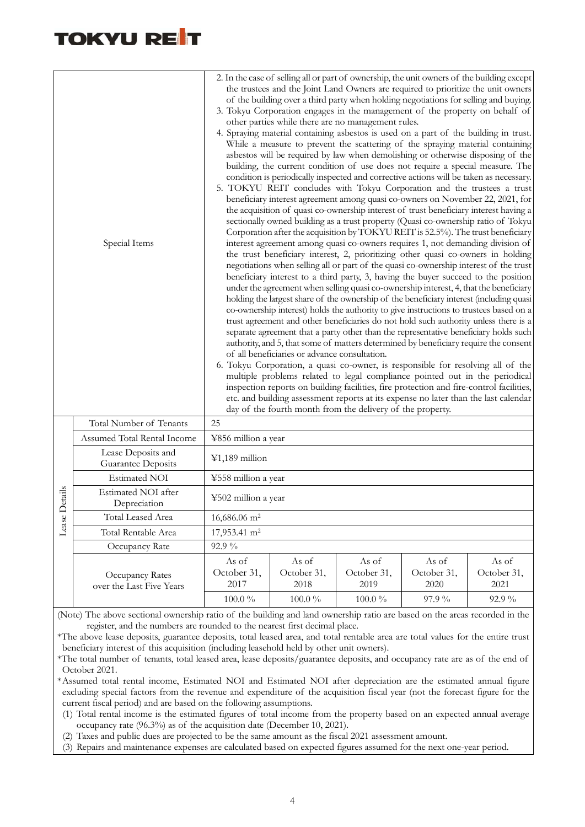| Special Items |                                             | 2. In the case of selling all or part of ownership, the unit owners of the building except<br>the trustees and the Joint Land Owners are required to prioritize the unit owners<br>of the building over a third party when holding negotiations for selling and buying.<br>3. Tokyu Corporation engages in the management of the property on behalf of<br>other parties while there are no management rules.<br>4. Spraying material containing asbestos is used on a part of the building in trust.<br>While a measure to prevent the scattering of the spraying material containing<br>asbestos will be required by law when demolishing or otherwise disposing of the<br>building, the current condition of use does not require a special measure. The<br>condition is periodically inspected and corrective actions will be taken as necessary.<br>5. TOKYU REIT concludes with Tokyu Corporation and the trustees a trust<br>beneficiary interest agreement among quasi co-owners on November 22, 2021, for<br>the acquisition of quasi co-ownership interest of trust beneficiary interest having a<br>sectionally owned building as a trust property (Quasi co-ownership ratio of Tokyu<br>Corporation after the acquisition by TOKYU REIT is 52.5%). The trust beneficiary<br>interest agreement among quasi co-owners requires 1, not demanding division of<br>the trust beneficiary interest, 2, prioritizing other quasi co-owners in holding<br>negotiations when selling all or part of the quasi co-ownership interest of the trust<br>beneficiary interest to a third party, 3, having the buyer succeed to the position<br>under the agreement when selling quasi co-ownership interest, 4, that the beneficiary<br>holding the largest share of the ownership of the beneficiary interest (including quasi<br>co-ownership interest) holds the authority to give instructions to trustees based on a<br>trust agreement and other beneficiaries do not hold such authority unless there is a<br>separate agreement that a party other than the representative beneficiary holds such<br>authority, and 5, that some of matters determined by beneficiary require the consent<br>of all beneficiaries or advance consultation.<br>6. Tokyu Corporation, a quasi co-owner, is responsible for resolving all of the<br>multiple problems related to legal compliance pointed out in the periodical<br>inspection reports on building facilities, fire protection and fire-control facilities,<br>etc. and building assessment reports at its expense no later than the last calendar |                                            |                                             |                                       |                                          |  |  |
|---------------|---------------------------------------------|-----------------------------------------------------------------------------------------------------------------------------------------------------------------------------------------------------------------------------------------------------------------------------------------------------------------------------------------------------------------------------------------------------------------------------------------------------------------------------------------------------------------------------------------------------------------------------------------------------------------------------------------------------------------------------------------------------------------------------------------------------------------------------------------------------------------------------------------------------------------------------------------------------------------------------------------------------------------------------------------------------------------------------------------------------------------------------------------------------------------------------------------------------------------------------------------------------------------------------------------------------------------------------------------------------------------------------------------------------------------------------------------------------------------------------------------------------------------------------------------------------------------------------------------------------------------------------------------------------------------------------------------------------------------------------------------------------------------------------------------------------------------------------------------------------------------------------------------------------------------------------------------------------------------------------------------------------------------------------------------------------------------------------------------------------------------------------------------------------------------------------------------------------------------------------------------------------------------------------------------------------------------------------------------------------------------------------------------------------------------------------------------------------------------------------------------------------------------------------------------------------------------------------------------------------------------------------------------------------|--------------------------------------------|---------------------------------------------|---------------------------------------|------------------------------------------|--|--|
|               | Total Number of Tenants                     | 25                                                                                                                                                                                                                                                                                                                                                                                                                                                                                                                                                                                                                                                                                                                                                                                                                                                                                                                                                                                                                                                                                                                                                                                                                                                                                                                                                                                                                                                                                                                                                                                                                                                                                                                                                                                                                                                                                                                                                                                                                                                                                                                                                                                                                                                                                                                                                                                                                                                                                                                                                                                                  |                                            |                                             |                                       |                                          |  |  |
|               | Assumed Total Rental Income                 | ¥856 million a year                                                                                                                                                                                                                                                                                                                                                                                                                                                                                                                                                                                                                                                                                                                                                                                                                                                                                                                                                                                                                                                                                                                                                                                                                                                                                                                                                                                                                                                                                                                                                                                                                                                                                                                                                                                                                                                                                                                                                                                                                                                                                                                                                                                                                                                                                                                                                                                                                                                                                                                                                                                 |                                            |                                             |                                       |                                          |  |  |
|               | Lease Deposits and<br>Guarantee Deposits    | $¥1,189$ million                                                                                                                                                                                                                                                                                                                                                                                                                                                                                                                                                                                                                                                                                                                                                                                                                                                                                                                                                                                                                                                                                                                                                                                                                                                                                                                                                                                                                                                                                                                                                                                                                                                                                                                                                                                                                                                                                                                                                                                                                                                                                                                                                                                                                                                                                                                                                                                                                                                                                                                                                                                    |                                            |                                             |                                       |                                          |  |  |
|               | <b>Estimated NOI</b>                        | ¥558 million a year                                                                                                                                                                                                                                                                                                                                                                                                                                                                                                                                                                                                                                                                                                                                                                                                                                                                                                                                                                                                                                                                                                                                                                                                                                                                                                                                                                                                                                                                                                                                                                                                                                                                                                                                                                                                                                                                                                                                                                                                                                                                                                                                                                                                                                                                                                                                                                                                                                                                                                                                                                                 |                                            |                                             |                                       |                                          |  |  |
| Lease Details | Estimated NOI after<br>Depreciation         | ¥502 million a year                                                                                                                                                                                                                                                                                                                                                                                                                                                                                                                                                                                                                                                                                                                                                                                                                                                                                                                                                                                                                                                                                                                                                                                                                                                                                                                                                                                                                                                                                                                                                                                                                                                                                                                                                                                                                                                                                                                                                                                                                                                                                                                                                                                                                                                                                                                                                                                                                                                                                                                                                                                 |                                            |                                             |                                       |                                          |  |  |
|               | Total Leased Area                           | 16,686.06 m <sup>2</sup>                                                                                                                                                                                                                                                                                                                                                                                                                                                                                                                                                                                                                                                                                                                                                                                                                                                                                                                                                                                                                                                                                                                                                                                                                                                                                                                                                                                                                                                                                                                                                                                                                                                                                                                                                                                                                                                                                                                                                                                                                                                                                                                                                                                                                                                                                                                                                                                                                                                                                                                                                                            |                                            |                                             |                                       |                                          |  |  |
|               | Total Rentable Area                         | 17,953.41 m <sup>2</sup>                                                                                                                                                                                                                                                                                                                                                                                                                                                                                                                                                                                                                                                                                                                                                                                                                                                                                                                                                                                                                                                                                                                                                                                                                                                                                                                                                                                                                                                                                                                                                                                                                                                                                                                                                                                                                                                                                                                                                                                                                                                                                                                                                                                                                                                                                                                                                                                                                                                                                                                                                                            |                                            |                                             |                                       |                                          |  |  |
|               | Occupancy Rate                              | 92.9%                                                                                                                                                                                                                                                                                                                                                                                                                                                                                                                                                                                                                                                                                                                                                                                                                                                                                                                                                                                                                                                                                                                                                                                                                                                                                                                                                                                                                                                                                                                                                                                                                                                                                                                                                                                                                                                                                                                                                                                                                                                                                                                                                                                                                                                                                                                                                                                                                                                                                                                                                                                               |                                            |                                             |                                       |                                          |  |  |
|               | Occupancy Rates<br>over the Last Five Years | As of<br>October 31,<br>2017<br>$100.0~\%$                                                                                                                                                                                                                                                                                                                                                                                                                                                                                                                                                                                                                                                                                                                                                                                                                                                                                                                                                                                                                                                                                                                                                                                                                                                                                                                                                                                                                                                                                                                                                                                                                                                                                                                                                                                                                                                                                                                                                                                                                                                                                                                                                                                                                                                                                                                                                                                                                                                                                                                                                          | As of<br>October 31,<br>2018<br>$100.0~\%$ | As of<br>October 31,<br>2019<br>$100.0\,\%$ | As of<br>October 31,<br>2020<br>97.9% | As of<br>October 31,<br>2021<br>$92.9\%$ |  |  |

(Note) The above sectional ownership ratio of the building and land ownership ratio are based on the areas recorded in the register, and the numbers are rounded to the nearest first decimal place.

\*The above lease deposits, guarantee deposits, total leased area, and total rentable area are total values for the entire trust beneficiary interest of this acquisition (including leasehold held by other unit owners).

\*The total number of tenants, total leased area, lease deposits/guarantee deposits, and occupancy rate are as of the end of October 2021.

\* Assumed total rental income, Estimated NOI and Estimated NOI after depreciation are the estimated annual figure excluding special factors from the revenue and expenditure of the acquisition fiscal year (not the forecast figure for the current fiscal period) and are based on the following assumptions.

(1) Total rental income is the estimated figures of total income from the property based on an expected annual average occupancy rate (96.3%) as of the acquisition date (December 10, 2021).

(2) Taxes and public dues are projected to be the same amount as the fiscal 2021 assessment amount.

(3) Repairs and maintenance expenses are calculated based on expected figures assumed for the next one-year period.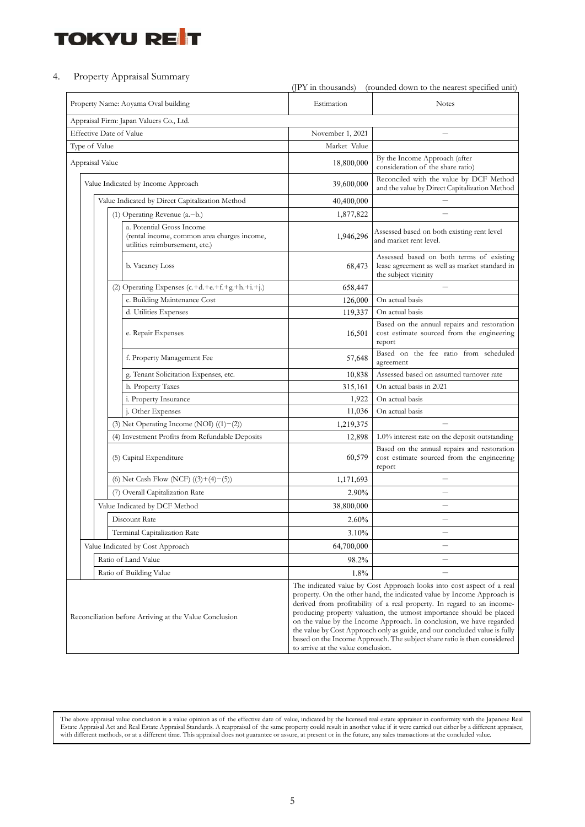#### 4. Property Appraisal Summary

|                                     |                                                                                                            | (JPY in thousands)<br>(rounded down to the nearest specified unit)                                                                                                                                                                                                                                                                                                                                                                                                                                                                                                        |                                                                                                                   |  |  |
|-------------------------------------|------------------------------------------------------------------------------------------------------------|---------------------------------------------------------------------------------------------------------------------------------------------------------------------------------------------------------------------------------------------------------------------------------------------------------------------------------------------------------------------------------------------------------------------------------------------------------------------------------------------------------------------------------------------------------------------------|-------------------------------------------------------------------------------------------------------------------|--|--|
| Property Name: Aoyama Oval building |                                                                                                            | Estimation                                                                                                                                                                                                                                                                                                                                                                                                                                                                                                                                                                | <b>Notes</b>                                                                                                      |  |  |
|                                     | Appraisal Firm: Japan Valuers Co., Ltd.                                                                    |                                                                                                                                                                                                                                                                                                                                                                                                                                                                                                                                                                           |                                                                                                                   |  |  |
| <b>Effective Date of Value</b>      |                                                                                                            | November 1, 2021                                                                                                                                                                                                                                                                                                                                                                                                                                                                                                                                                          |                                                                                                                   |  |  |
| Type of Value                       |                                                                                                            | Market Value                                                                                                                                                                                                                                                                                                                                                                                                                                                                                                                                                              |                                                                                                                   |  |  |
| Appraisal Value                     |                                                                                                            | 18,800,000                                                                                                                                                                                                                                                                                                                                                                                                                                                                                                                                                                | By the Income Approach (after<br>consideration of the share ratio)                                                |  |  |
| Value Indicated by Income Approach  |                                                                                                            | 39,600,000                                                                                                                                                                                                                                                                                                                                                                                                                                                                                                                                                                | Reconciled with the value by DCF Method<br>and the value by Direct Capitalization Method                          |  |  |
|                                     | Value Indicated by Direct Capitalization Method                                                            | 40,400,000                                                                                                                                                                                                                                                                                                                                                                                                                                                                                                                                                                | $\overline{\phantom{0}}$                                                                                          |  |  |
| (1) Operating Revenue (a.-b.)       |                                                                                                            | 1,877,822                                                                                                                                                                                                                                                                                                                                                                                                                                                                                                                                                                 |                                                                                                                   |  |  |
|                                     | a. Potential Gross Income<br>(rental income, common area charges income,<br>utilities reimbursement, etc.) | 1,946,296                                                                                                                                                                                                                                                                                                                                                                                                                                                                                                                                                                 | Assessed based on both existing rent level<br>and market rent level.                                              |  |  |
|                                     | b. Vacancy Loss                                                                                            | 68,473                                                                                                                                                                                                                                                                                                                                                                                                                                                                                                                                                                    | Assessed based on both terms of existing<br>lease agreement as well as market standard in<br>the subject vicinity |  |  |
|                                     | (2) Operating Expenses (c.+d.+e.+f.+g.+h.+i.+j.)                                                           | 658,447                                                                                                                                                                                                                                                                                                                                                                                                                                                                                                                                                                   |                                                                                                                   |  |  |
|                                     | c. Building Maintenance Cost                                                                               | 126,000                                                                                                                                                                                                                                                                                                                                                                                                                                                                                                                                                                   | On actual basis                                                                                                   |  |  |
|                                     | d. Utilities Expenses                                                                                      | 119,337                                                                                                                                                                                                                                                                                                                                                                                                                                                                                                                                                                   | On actual basis                                                                                                   |  |  |
|                                     | e. Repair Expenses                                                                                         | 16,501                                                                                                                                                                                                                                                                                                                                                                                                                                                                                                                                                                    | Based on the annual repairs and restoration<br>cost estimate sourced from the engineering<br>report               |  |  |
|                                     | f. Property Management Fee                                                                                 | 57,648                                                                                                                                                                                                                                                                                                                                                                                                                                                                                                                                                                    | Based on the fee ratio from scheduled<br>agreement                                                                |  |  |
|                                     | g. Tenant Solicitation Expenses, etc.                                                                      | 10,838                                                                                                                                                                                                                                                                                                                                                                                                                                                                                                                                                                    | Assessed based on assumed turnover rate                                                                           |  |  |
|                                     | h. Property Taxes                                                                                          | 315,161                                                                                                                                                                                                                                                                                                                                                                                                                                                                                                                                                                   | On actual basis in 2021                                                                                           |  |  |
|                                     | i. Property Insurance                                                                                      | 1,922                                                                                                                                                                                                                                                                                                                                                                                                                                                                                                                                                                     | On actual basis                                                                                                   |  |  |
|                                     | j. Other Expenses                                                                                          | 11,036                                                                                                                                                                                                                                                                                                                                                                                                                                                                                                                                                                    | On actual basis                                                                                                   |  |  |
|                                     | (3) Net Operating Income (NOI) $((1)-(2))$                                                                 | 1,219,375                                                                                                                                                                                                                                                                                                                                                                                                                                                                                                                                                                 | $\equiv$                                                                                                          |  |  |
|                                     | (4) Investment Profits from Refundable Deposits                                                            | 12,898                                                                                                                                                                                                                                                                                                                                                                                                                                                                                                                                                                    | 1.0% interest rate on the deposit outstanding                                                                     |  |  |
|                                     | (5) Capital Expenditure                                                                                    | 60,579                                                                                                                                                                                                                                                                                                                                                                                                                                                                                                                                                                    | Based on the annual repairs and restoration<br>cost estimate sourced from the engineering<br>report               |  |  |
|                                     | (6) Net Cash Flow (NCF) $((3)+(4)-(5))$                                                                    | 1,171,693                                                                                                                                                                                                                                                                                                                                                                                                                                                                                                                                                                 |                                                                                                                   |  |  |
|                                     | (7) Overall Capitalization Rate                                                                            | 2.90%                                                                                                                                                                                                                                                                                                                                                                                                                                                                                                                                                                     |                                                                                                                   |  |  |
|                                     | Value Indicated by DCF Method                                                                              | 38,800,000                                                                                                                                                                                                                                                                                                                                                                                                                                                                                                                                                                |                                                                                                                   |  |  |
|                                     | Discount Rate                                                                                              | 2.60%                                                                                                                                                                                                                                                                                                                                                                                                                                                                                                                                                                     |                                                                                                                   |  |  |
|                                     | Terminal Capitalization Rate                                                                               | 3.10%                                                                                                                                                                                                                                                                                                                                                                                                                                                                                                                                                                     |                                                                                                                   |  |  |
|                                     | Value Indicated by Cost Approach                                                                           | 64,700,000                                                                                                                                                                                                                                                                                                                                                                                                                                                                                                                                                                |                                                                                                                   |  |  |
|                                     | Ratio of Land Value                                                                                        | 98.2%                                                                                                                                                                                                                                                                                                                                                                                                                                                                                                                                                                     |                                                                                                                   |  |  |
|                                     | Ratio of Building Value                                                                                    | 1.8%                                                                                                                                                                                                                                                                                                                                                                                                                                                                                                                                                                      |                                                                                                                   |  |  |
|                                     | Reconciliation before Arriving at the Value Conclusion                                                     | The indicated value by Cost Approach looks into cost aspect of a real<br>property. On the other hand, the indicated value by Income Approach is<br>derived from profitability of a real property. In regard to an income-<br>producing property valuation, the utmost importance should be placed<br>on the value by the Income Approach. In conclusion, we have regarded<br>the value by Cost Approach only as guide, and our concluded value is fully<br>based on the Income Approach. The subject share ratio is then considered<br>to arrive at the value conclusion. |                                                                                                                   |  |  |

The above appraisal value conclusion is a value opinion as of the effective date of value, indicated by the licensed real estate appraiser in conformity with the Japanese Real<br>Estate Appraisal Act and Real Estate Appraisal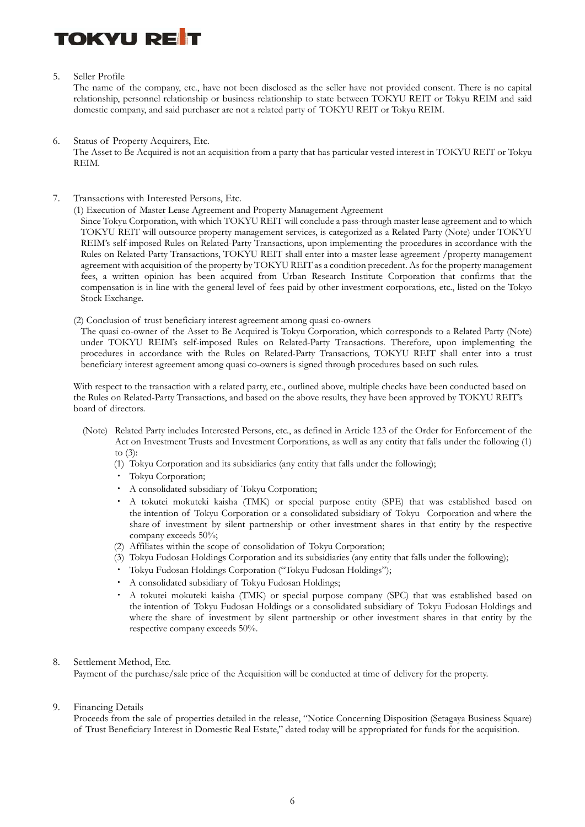#### 5. Seller Profile

The name of the company, etc., have not been disclosed as the seller have not provided consent. There is no capital relationship, personnel relationship or business relationship to state between TOKYU REIT or Tokyu REIM and said domestic company, and said purchaser are not a related party of TOKYU REIT or Tokyu REIM.

- 6. Status of Property Acquirers, Etc. The Asset to Be Acquired is not an acquisition from a party that has particular vested interest in TOKYU REIT or Tokyu REIM.
- 7. Transactions with Interested Persons, Etc.

(1) Execution of Master Lease Agreement and Property Management Agreement

Since Tokyu Corporation, with which TOKYU REIT will conclude a pass-through master lease agreement and to which TOKYU REIT will outsource property management services, is categorized as a Related Party (Note) under TOKYU REIM's self-imposed Rules on Related-Party Transactions, upon implementing the procedures in accordance with the Rules on Related-Party Transactions, TOKYU REIT shall enter into a master lease agreement /property management agreement with acquisition of the property by TOKYU REIT as a condition precedent. As for the property management fees, a written opinion has been acquired from Urban Research Institute Corporation that confirms that the compensation is in line with the general level of fees paid by other investment corporations, etc., listed on the Tokyo Stock Exchange.

(2) Conclusion of trust beneficiary interest agreement among quasi co-owners

The quasi co-owner of the Asset to Be Acquired is Tokyu Corporation, which corresponds to a Related Party (Note) under TOKYU REIM's self-imposed Rules on Related-Party Transactions. Therefore, upon implementing the procedures in accordance with the Rules on Related-Party Transactions, TOKYU REIT shall enter into a trust beneficiary interest agreement among quasi co-owners is signed through procedures based on such rules.

With respect to the transaction with a related party, etc., outlined above, multiple checks have been conducted based on the Rules on Related-Party Transactions, and based on the above results, they have been approved by TOKYU REIT's board of directors.

- (Note) Related Party includes Interested Persons, etc., as defined in Article 123 of the Order for Enforcement of the Act on Investment Trusts and Investment Corporations, as well as any entity that falls under the following (1) to (3):
	- (1) Tokyu Corporation and its subsidiaries (any entity that falls under the following);
	- ・ Tokyu Corporation;
	- ・ A consolidated subsidiary of Tokyu Corporation;
	- ・ A tokutei mokuteki kaisha (TMK) or special purpose entity (SPE) that was established based on the intention of Tokyu Corporation or a consolidated subsidiary of Tokyu Corporation and where the share of investment by silent partnership or other investment shares in that entity by the respective company exceeds 50%;
	- (2) Affiliates within the scope of consolidation of Tokyu Corporation;
	- (3) Tokyu Fudosan Holdings Corporation and its subsidiaries (any entity that falls under the following);
	- ・ Tokyu Fudosan Holdings Corporation ("Tokyu Fudosan Holdings");
	- ・ A consolidated subsidiary of Tokyu Fudosan Holdings;
	- ・ A tokutei mokuteki kaisha (TMK) or special purpose company (SPC) that was established based on the intention of Tokyu Fudosan Holdings or a consolidated subsidiary of Tokyu Fudosan Holdings and where the share of investment by silent partnership or other investment shares in that entity by the respective company exceeds 50%.

#### 8. Settlement Method, Etc.

Payment of the purchase/sale price of the Acquisition will be conducted at time of delivery for the property.

#### 9. Financing Details

Proceeds from the sale of properties detailed in the release, "Notice Concerning Disposition (Setagaya Business Square) of Trust Beneficiary Interest in Domestic Real Estate," dated today will be appropriated for funds for the acquisition.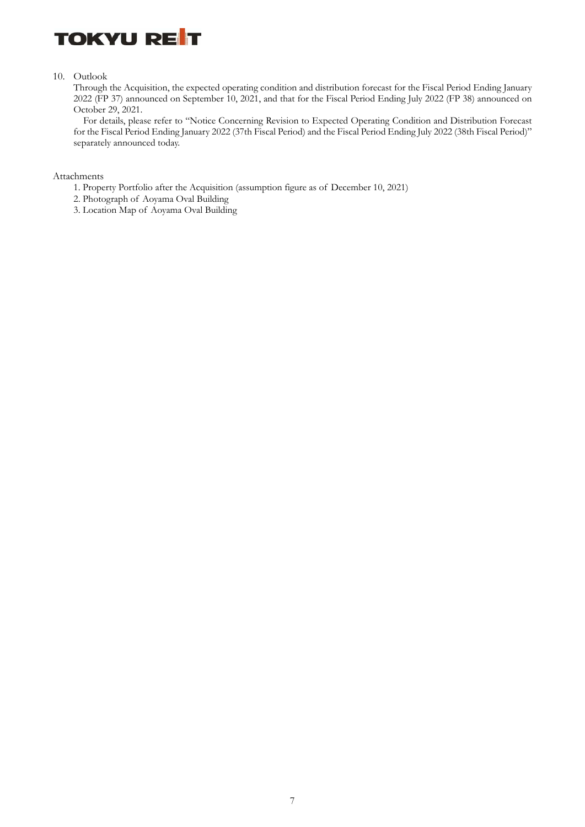

10. Outlook

Through the Acquisition, the expected operating condition and distribution forecast for the Fiscal Period Ending January 2022 (FP 37) announced on September 10, 2021, and that for the Fiscal Period Ending July 2022 (FP 38) announced on October 29, 2021.

For details, please refer to "Notice Concerning Revision to Expected Operating Condition and Distribution Forecast for the Fiscal Period Ending January 2022 (37th Fiscal Period) and the Fiscal Period Ending July 2022 (38th Fiscal Period)" separately announced today.

Attachments

- 1. Property Portfolio after the Acquisition (assumption figure as of December 10, 2021)
- 2. Photograph of Aoyama Oval Building
- 3. Location Map of Aoyama Oval Building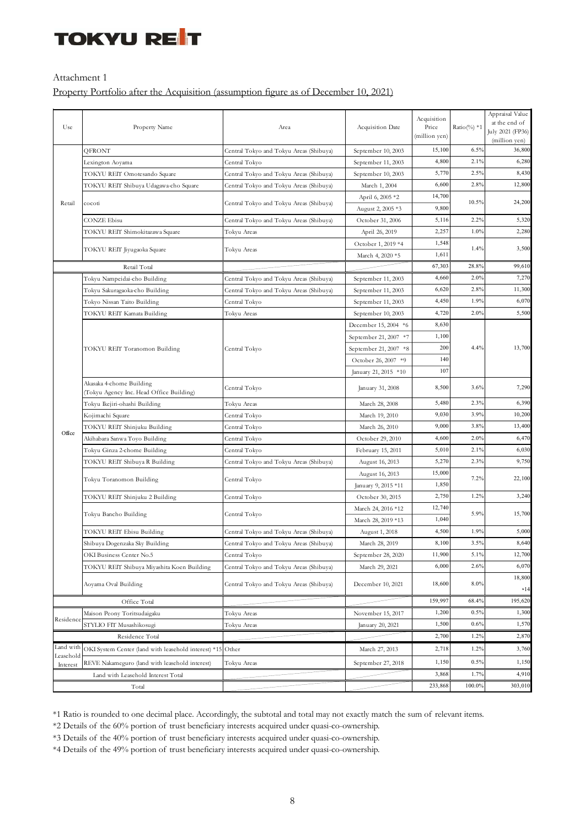#### Attachment 1

### Property Portfolio after the Acquisition (assumption figure as of December 10, 2021)

|                                    |                                                      |                                                               | Acquisition Date      | Acquisition   |               | Appraisal Value<br>at the end of |
|------------------------------------|------------------------------------------------------|---------------------------------------------------------------|-----------------------|---------------|---------------|----------------------------------|
| Use                                | Property Name                                        | Area                                                          |                       | Price         | Ratio(%) $*1$ | July 2021 (FP36)                 |
|                                    |                                                      |                                                               |                       | (million yen) |               | (million yen)                    |
|                                    | QFRONT                                               | Central Tokyo and Tokyu Areas (Shibuya)                       | September 10, 2003    | 15,100        | 6.5%          | 36,800                           |
|                                    | Lexington Aoyama                                     | Central Tokyo                                                 | September 11, 2003    | 4,800         | 2.1%          | 6,280                            |
|                                    | TOKYU REIT Omotesando Square                         | Central Tokyo and Tokyu Areas (Shibuya)                       | September 10, 2003    | 5,770         | 2.5%          | 8,430                            |
|                                    | TOKYU REIT Shibuya Udagawa-cho Square                | Central Tokyo and Tokyu Areas (Shibuya)                       | March 1, 2004         | 6,600         | 2.8%          | 12,800                           |
|                                    |                                                      |                                                               | April 6, 2005 *2      | 14,700        | 10.5%         | 24,200                           |
| Retail                             | cocoti                                               | Central Tokyo and Tokyu Areas (Shibuya)                       | August 2, 2005 *3     | 9,800         |               |                                  |
|                                    | CONZE Ebisu                                          | Central Tokyo and Tokyu Areas (Shibuya)                       | October 31, 2006      | 5,116         | 2.2%          | 5,320                            |
|                                    | TOKYU REIT Shimokitazawa Square                      | Tokyu Areas                                                   | April 26, 2019        | 2,257         | 1.0%          | 2,280                            |
|                                    |                                                      |                                                               | October 1, 2019 *4    | 1,548         | 1.4%          | 3,500                            |
|                                    | TOKYU REIT Jiyugaoka Square                          | Tokyu Areas                                                   | March 4, 2020 *5      | 1,611         |               |                                  |
|                                    | Retail Total                                         |                                                               |                       | 67,303        | 28.8%         | 99,610                           |
|                                    | Tokyu Nampeidai-cho Building                         | Central Tokyo and Tokyu Areas (Shibuya)<br>September 11, 2003 |                       | 4,660         | 2.0%          | 7,270                            |
|                                    | Tokyu Sakuragaoka-cho Building                       | Central Tokyo and Tokyu Areas (Shibuya)<br>September 11, 2003 |                       | 6,620         | 2.8%          | 11,300                           |
|                                    | Tokyo Nissan Taito Building                          | Central Tokyo<br>September 11, 2003                           |                       | 4,450         | 1.9%          | 6,070                            |
|                                    | TOKYU REIT Kamata Building                           | Tokyu Areas                                                   | September 10, 2003    | 4,720         | 2.0%          | 5,500                            |
|                                    |                                                      |                                                               | December 15, 2004 *6  | 8,630         |               | 13,700                           |
|                                    |                                                      |                                                               | September 21, 2007 *7 | 1,100         |               |                                  |
|                                    | TOKYU REIT Toranomon Building                        | Central Tokyo                                                 | September 21, 2007 *8 | 200           | 4.4%          |                                  |
|                                    |                                                      |                                                               | October 26, 2007 *9   | 140           |               |                                  |
|                                    |                                                      |                                                               | January 21, 2015 *10  | 107           |               |                                  |
|                                    | Akasaka 4-chome Building                             | Central Tokyo                                                 | January 31, 2008      | 8,500         | 3.6%          | 7,290                            |
|                                    | (Tokyu Agency Inc. Head Office Building)             |                                                               |                       |               |               |                                  |
|                                    | Tokyu Ikejiri-ohashi Building                        | Tokyu Areas                                                   | March 28, 2008        | 5,480         | 2.3%          | 6,390                            |
|                                    | Kojimachi Square                                     | Central Tokyo                                                 | March 19, 2010        | 9,030         | 3.9%          | 10,200                           |
| Office                             | TOKYU REIT Shinjuku Building                         | Central Tokyo                                                 | March 26, 2010        | 9,000         | 3.8%          | 13,400                           |
|                                    | Akihabara Sanwa Toyo Building                        | Central Tokyo                                                 | October 29, 2010      | 4,600         | 2.0%          | 6,470                            |
|                                    | Tokyu Ginza 2-chome Building                         | Central Tokyo<br>February 15, 2011                            |                       | 5,010         | 2.1%          | 6,030                            |
|                                    | TOKYU REIT Shibuya R Building                        | Central Tokyo and Tokyu Areas (Shibuya)                       | August 16, 2013       | 5,270         |               | 9,750                            |
|                                    | Tokyu Toranomon Building                             | Central Tokyo                                                 | August 16, 2013       | 15,000        | 7.2%          | 22,100                           |
|                                    |                                                      |                                                               | January 9, 2015 *11   | 1,850         |               |                                  |
|                                    | TOKYU REIT Shinjuku 2 Building                       | Central Tokyo                                                 | October 30, 2015      | 2,750         | 1.2%          | 3,240                            |
|                                    | Tokyu Bancho Building                                | Central Tokyo                                                 | March 24, 2016 *12    | 12,740        | 5.9%          | 15,700                           |
|                                    |                                                      |                                                               | March 28, 2019 *13    | 1,040         |               |                                  |
|                                    | TOKYU REIT Ebisu Building                            | Central Tokyo and Tokyu Areas (Shibuya)                       | August 1, 2018        | 4,500         | 1.9%          | 5,000                            |
|                                    | Shibuya Dogenzaka Sky Building                       | Central Tokyo and Tokyu Areas (Shibuya)                       | March 28, 2019        | 8,100         | 3.5%          | 8,640                            |
|                                    | OKI Business Center No.5                             | Central Tokyo                                                 | September 28, 2020    | 11,900        | 5.1%          | 12,700                           |
|                                    | TOKYU REIT Shibuya Miyashita Koen Building           | Central Tokyo and Tokyu Areas (Shibuya)                       | March 29, 2021        | 6,000         | 2.6%          | 6,070                            |
|                                    | Aoyama Oval Building                                 | Central Tokyo and Tokyu Areas (Shibuya)                       | December 10, 2021     | 18,600        | 8.0%          | 18,800<br>$*14$                  |
| Office Total                       |                                                      |                                                               |                       | 159,997       | 68.4%         | 195,620                          |
|                                    | Maison Peony Toritsudaigaku                          | Tokyu Areas                                                   | November 15, 2017     | 1,200         | 0.5%          | 1,300                            |
| Residence                          | STYLIO FIT Musashikosugi                             | Tokyu Areas                                                   | January 20, 2021      | 1,500         | 0.6%          | 1,570                            |
| Residence Total                    |                                                      |                                                               |                       | 2,700         | 1.2%          | 2,870                            |
| Land with                          | OKI System Center (land with leasehold interest) *15 | Other                                                         | March 27, 2013        | 2,718         | 1.2%          | 3,760                            |
| Leasehold<br>Interest              | REVE Nakameguro (land with leasehold interest)       | Tokyu Areas                                                   | September 27, 2018    | 1,150         | 0.5%          | 1,150                            |
| Land with Leasehold Interest Total |                                                      |                                                               |                       | 3,868         | 1.7%          | 4,910                            |
| Total                              |                                                      |                                                               |                       | 233,868       | 100.0%        | 303,010                          |

\*1 Ratio is rounded to one decimal place. Accordingly, the subtotal and total may not exactly match the sum of relevant items.

\*2 Details of the 60% portion of trust beneficiary interests acquired under quasi-co-ownership.

\*3 Details of the 40% portion of trust beneficiary interests acquired under quasi-co-ownership.

\*4 Details of the 49% portion of trust beneficiary interests acquired under quasi-co-ownership.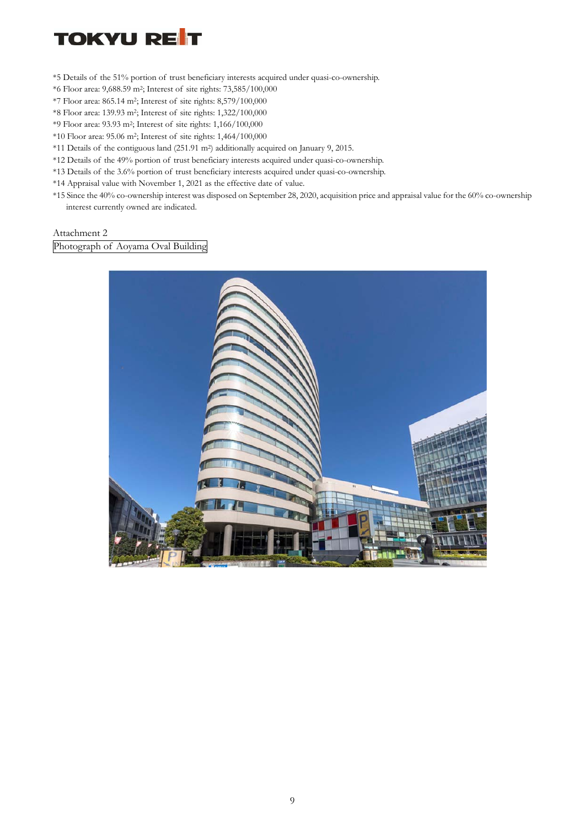- \*5 Details of the 51% portion of trust beneficiary interests acquired under quasi-co-ownership.
- \*6 Floor area: 9,688.59 m2; Interest of site rights: 73,585/100,000
- \*7 Floor area: 865.14 m2; Interest of site rights: 8,579/100,000
- \*8 Floor area: 139.93 m2; Interest of site rights: 1,322/100,000
- \*9 Floor area: 93.93 m2; Interest of site rights: 1,166/100,000
- \*10 Floor area: 95.06 m2; Interest of site rights: 1,464/100,000
- \*11 Details of the contiguous land (251.91 m2) additionally acquired on January 9, 2015.
- \*12 Details of the 49% portion of trust beneficiary interests acquired under quasi-co-ownership.
- \*13 Details of the 3.6% portion of trust beneficiary interests acquired under quasi-co-ownership.
- \*14 Appraisal value with November 1, 2021 as the effective date of value.
- \*15 Since the 40% co-ownership interest was disposed on September 28, 2020, acquisition price and appraisal value for the 60% co-ownership interest currently owned are indicated.

Attachment 2

Photograph of Aoyama Oval Building